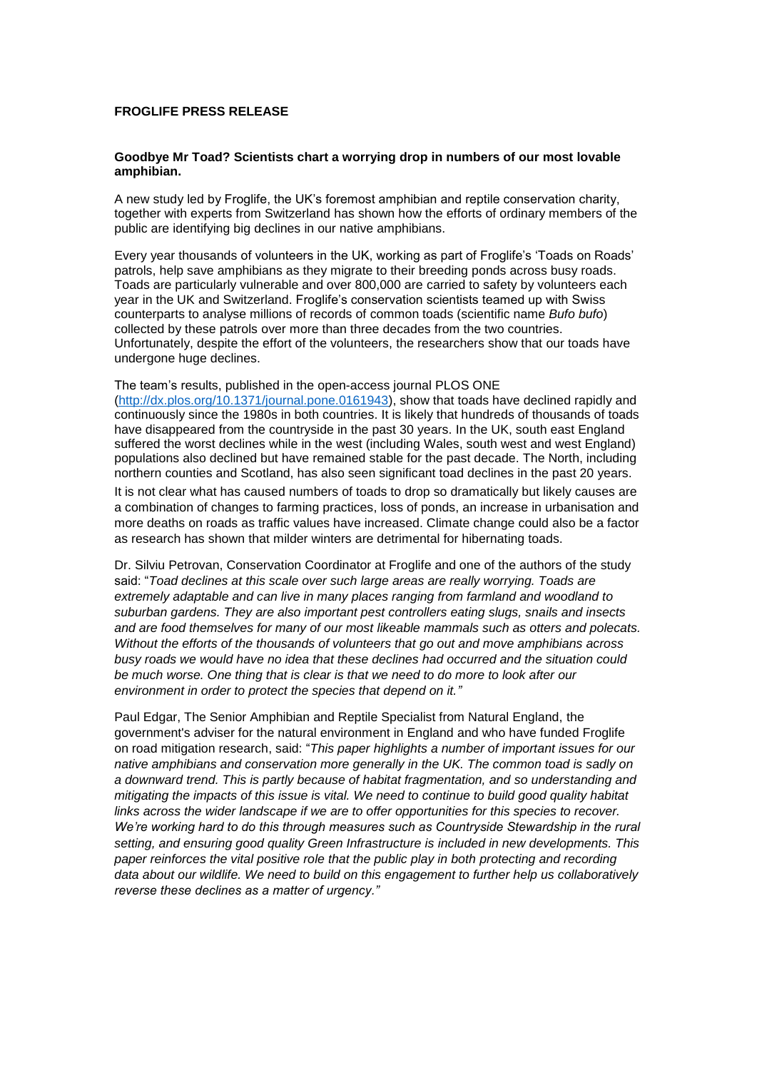### **FROGLIFE PRESS RELEASE**

#### **Goodbye Mr Toad? Scientists chart a worrying drop in numbers of our most lovable amphibian.**

A new study led by Froglife, the UK's foremost amphibian and reptile conservation charity, together with experts from Switzerland has shown how the efforts of ordinary members of the public are identifying big declines in our native amphibians.

Every year thousands of volunteers in the UK, working as part of Froglife's 'Toads on Roads' patrols, help save amphibians as they migrate to their breeding ponds across busy roads. Toads are particularly vulnerable and over 800,000 are carried to safety by volunteers each year in the UK and Switzerland. Froglife's conservation scientists teamed up with Swiss counterparts to analyse millions of records of common toads (scientific name *Bufo bufo*) collected by these patrols over more than three decades from the two countries. Unfortunately, despite the effort of the volunteers, the researchers show that our toads have undergone huge declines.

### The team's results, published in the open-access journal PLOS ONE

[\(http://dx.plos.org/10.1371/journal.pone.0161943\)](http://dx.plos.org/10.1371/journal.pone.0161943), show that toads have declined rapidly and continuously since the 1980s in both countries. It is likely that hundreds of thousands of toads have disappeared from the countryside in the past 30 years. In the UK, south east England suffered the worst declines while in the west (including Wales, south west and west England) populations also declined but have remained stable for the past decade. The North, including northern counties and Scotland, has also seen significant toad declines in the past 20 years.

It is not clear what has caused numbers of toads to drop so dramatically but likely causes are a combination of changes to farming practices, loss of ponds, an increase in urbanisation and more deaths on roads as traffic values have increased. Climate change could also be a factor as research has shown that milder winters are detrimental for hibernating toads.

Dr. Silviu Petrovan, Conservation Coordinator at Froglife and one of the authors of the study said: "*Toad declines at this scale over such large areas are really worrying. Toads are extremely adaptable and can live in many places ranging from farmland and woodland to suburban gardens. They are also important pest controllers eating slugs, snails and insects and are food themselves for many of our most likeable mammals such as otters and polecats. Without the efforts of the thousands of volunteers that go out and move amphibians across busy roads we would have no idea that these declines had occurred and the situation could be much worse. One thing that is clear is that we need to do more to look after our environment in order to protect the species that depend on it."*

Paul Edgar, The Senior Amphibian and Reptile Specialist from Natural England, the government's adviser for the natural environment in England and who have funded Froglife on road mitigation research, said: "*This paper highlights a number of important issues for our native amphibians and conservation more generally in the UK. The common toad is sadly on a downward trend. This is partly because of habitat fragmentation, and so understanding and mitigating the impacts of this issue is vital. We need to continue to build good quality habitat links across the wider landscape if we are to offer opportunities for this species to recover.*  We're working hard to do this through measures such as Countryside Stewardship in the rural *setting, and ensuring good quality Green Infrastructure is included in new developments. This paper reinforces the vital positive role that the public play in both protecting and recording data about our wildlife. We need to build on this engagement to further help us collaboratively reverse these declines as a matter of urgency."*